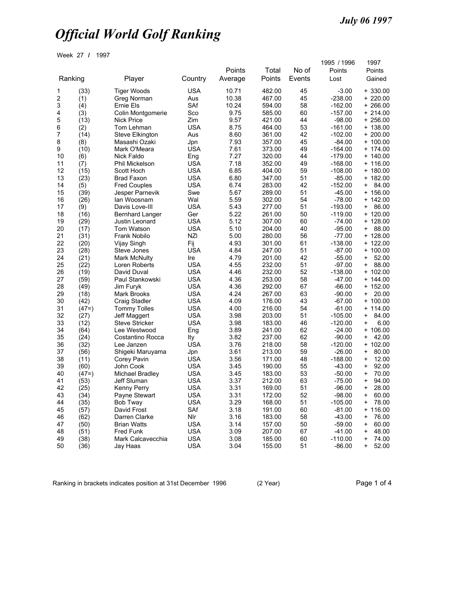Week 27 **/** 1997

|    |         |                        |            | Points  | Total  | No of  | 1995 / 1996<br>Points | 1997<br>Points      |
|----|---------|------------------------|------------|---------|--------|--------|-----------------------|---------------------|
|    | Ranking | Player                 | Country    | Average | Points | Events | Lost                  | Gained              |
| 1  | (33)    | <b>Tiger Woods</b>     | <b>USA</b> | 10.71   | 482.00 | 45     | $-3.00$               | $+330.00$           |
| 2  | (1)     | Greg Norman            | Aus        | 10.38   | 467.00 | 45     | $-238.00$             | + 220.00            |
| 3  | (4)     | Ernie Els              | SAf        | 10.24   | 594.00 | 58     | $-162.00$             | 266.00<br>$\ddot{}$ |
| 4  | (3)     | Colin Montgomerie      | Sco        | 9.75    | 585.00 | 60     | $-157.00$             | $+214.00$           |
| 5  | (13)    | <b>Nick Price</b>      | Zim        | 9.57    | 421.00 | 44     | -98.00                | $+256.00$           |
| 6  | (2)     | Tom Lehman             | <b>USA</b> | 8.75    | 464.00 | 53     | $-161.00$             | 138.00<br>$\ddot{}$ |
| 7  | (14)    | <b>Steve Elkington</b> | Aus        | 8.60    | 361.00 | 42     | $-102.00$             | $+200.00$           |
| 8  | (8)     | Masashi Ozaki          | Jpn        | 7.93    | 357.00 | 45     | $-84.00$              | 100.00<br>$\ddot{}$ |
| 9  | (10)    | Mark O'Meara           | <b>USA</b> | 7.61    | 373.00 | 49     | $-164.00$             | 174.00<br>$\ddot{}$ |
| 10 | (6)     | Nick Faldo             | Eng        | 7.27    | 320.00 | 44     | $-179.00$             | + 140.00            |
| 11 | (7)     | <b>Phil Mickelson</b>  | <b>USA</b> | 7.18    | 352.00 | 49     | $-168.00$             | 116.00<br>$\ddot{}$ |
| 12 | (15)    | Scott Hoch             | <b>USA</b> | 6.85    | 404.00 | 59     | $-108.00$             | $+ 180.00$          |
| 13 | (23)    | <b>Brad Faxon</b>      | <b>USA</b> | 6.80    | 347.00 | 51     | $-85.00$              | $+ 182.00$          |
| 14 | (5)     | <b>Fred Couples</b>    | <b>USA</b> | 6.74    | 283.00 | 42     | $-152.00$             | 84.00<br>$\ddot{}$  |
| 15 | (39)    | Jesper Parnevik        | Swe        | 5.67    | 289.00 | 51     | $-45.00$              | $+ 156.00$          |
| 16 | (26)    | lan Woosnam            | Wal        | 5.59    | 302.00 | 54     | $-78.00$              | 142.00<br>$\ddot{}$ |
| 17 | (9)     | Davis Love-III         | <b>USA</b> | 5.43    | 277.00 | 51     | $-193.00$             | 86.00<br>+          |
| 18 | (16)    | <b>Bernhard Langer</b> | Ger        | 5.22    | 261.00 | 50     | $-119.00$             | $+ 120.00$          |
| 19 | (29)    | Justin Leonard         | <b>USA</b> | 5.12    | 307.00 | 60     | $-74.00$              | 128.00<br>$\ddot{}$ |
| 20 | (17)    | Tom Watson             | <b>USA</b> | 5.10    | 204.00 | 40     | $-95.00$              | 88.00<br>+          |
| 21 | (31)    | <b>Frank Nobilo</b>    | <b>NZI</b> | 5.00    | 280.00 | 56     | $-77.00$              | $+ 128.00$          |
| 22 | (20)    | Vijay Singh            | Fij        | 4.93    | 301.00 | 61     | $-138.00$             | 122.00<br>$\ddot{}$ |
| 23 | (28)    | Steve Jones            | <b>USA</b> | 4.84    | 247.00 | 51     | $-87.00$              | $+ 100.00$          |
| 24 | (21)    | Mark McNulty           | Ire        | 4.79    | 201.00 | 42     | $-55.00$              | 52.00<br>+          |
| 25 | (22)    | Loren Roberts          | <b>USA</b> | 4.55    | 232.00 | 51     | $-97.00$              | 88.00<br>$\ddot{}$  |
| 26 | (19)    | David Duval            | <b>USA</b> | 4.46    | 232.00 | 52     | $-138.00$             | + 102.00            |
| 27 | (59)    | Paul Stankowski        | <b>USA</b> | 4.36    | 253.00 | 58     | $-47.00$              | 144.00<br>$\ddot{}$ |
| 28 | (49)    | Jim Furyk              | <b>USA</b> | 4.36    | 292.00 | 67     | $-66.00$              | $+ 152.00$          |
| 29 | (18)    | Mark Brooks            | <b>USA</b> | 4.24    | 267.00 | 63     | $-90.00$              | 20.00<br>+          |
| 30 | (42)    | Craig Stadler          | <b>USA</b> | 4.09    | 176.00 | 43     | $-67.00$              | 100.00<br>$\ddot{}$ |
| 31 | $(47=)$ | <b>Tommy Tolles</b>    | <b>USA</b> | 4.00    | 216.00 | 54     | $-61.00$              | $+ 114.00$          |
| 32 | (27)    | Jeff Maggert           | <b>USA</b> | 3.98    | 203.00 | 51     | $-105.00$             | 84.00<br>+          |
| 33 | (12)    | <b>Steve Stricker</b>  | <b>USA</b> | 3.98    | 183.00 | 46     | $-120.00$             | 6.00<br>$\ddot{}$   |
| 34 | (64)    | Lee Westwood           | Eng        | 3.89    | 241.00 | 62     | $-24.00$              | 106.00<br>$\ddot{}$ |
| 35 | (24)    | Costantino Rocca       | Ity        | 3.82    | 237.00 | 62     | $-90.00$              | 42.00<br>$\ddot{}$  |
| 36 | (32)    | Lee Janzen             | <b>USA</b> | 3.76    | 218.00 | 58     | $-120.00$             | $+ 102.00$          |
| 37 | (56)    | Shigeki Maruyama       | Jpn        | 3.61    | 213.00 | 59     | $-26.00$              | 80.00<br>$\ddot{}$  |
| 38 | (11)    | Corey Pavin            | <b>USA</b> | 3.56    | 171.00 | 48     | $-188.00$             | 12.00<br>$\ddot{}$  |
| 39 | (60)    | John Cook              | <b>USA</b> | 3.45    | 190.00 | 55     | $-43.00$              | 92.00<br>$\ddot{}$  |
| 40 | $(47=)$ | <b>Michael Bradley</b> | <b>USA</b> | 3.45    | 183.00 | 53     | $-50.00$              | 70.00<br>$\ddot{}$  |
| 41 | (53)    | Jeff Sluman            | <b>USA</b> | 3.37    | 212.00 | 63     | $-75.00$              | 94.00<br>$\ddot{}$  |
| 42 | (25)    | Kenny Perry            | <b>USA</b> | 3.31    | 169.00 | 51     | $-96.00$              | 28.00<br>$\pmb{+}$  |
| 43 | (34)    | Payne Stewart          | <b>USA</b> | 3.31    | 172.00 | 52     | $-98.00$              | 60.00<br>$\ddot{}$  |
| 44 | (35)    | Bob Tway               | <b>USA</b> | 3.29    | 168.00 | 51     | $-105.00$             | 78.00<br>$\pmb{+}$  |
| 45 | (57)    | David Frost            | SAf        | 3.18    | 191.00 | 60     | $-81.00$              | 116.00<br>+         |
| 46 | (62)    | Darren Clarke          | Nlr        | 3.16    | 183.00 | 58     | $-43.00$              | 76.00<br>$\ddot{}$  |
| 47 | (50)    | <b>Brian Watts</b>     | <b>USA</b> | 3.14    | 157.00 | 50     | $-59.00$              | 60.00<br>$\ddot{}$  |
| 48 | (51)    | Fred Funk              | <b>USA</b> | 3.09    | 207.00 | 67     | $-41.00$              | 48.00<br>$\pmb{+}$  |
| 49 | (38)    | Mark Calcavecchia      | <b>USA</b> | 3.08    | 185.00 | 60     | $-110.00$             | 74.00<br>$\ddag$    |
| 50 | (36)    | Jay Haas               | <b>USA</b> | 3.04    | 155.00 | 51     | $-86.00$              | 52.00<br>$\ddot{}$  |
|    |         |                        |            |         |        |        |                       |                     |

Ranking in brackets indicates position at 31st December 1996 (2 Year) Page 1 of 4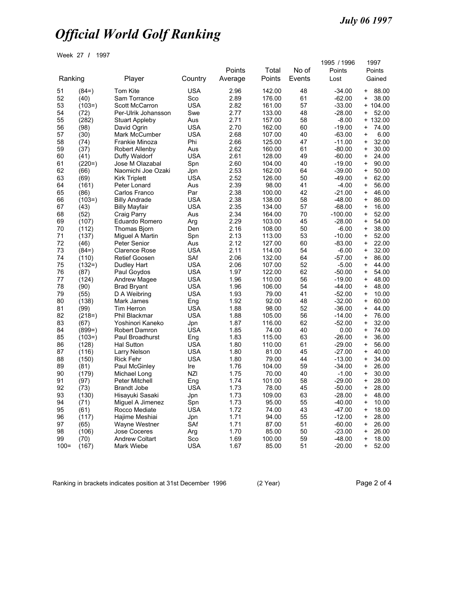Week 27 **/** 1997

|          |               |                            |                          | Points       | Total            | No of    | 1995 / 1996<br>Points |                        | 1997<br>Points |  |
|----------|---------------|----------------------------|--------------------------|--------------|------------------|----------|-----------------------|------------------------|----------------|--|
| Ranking  |               | Player                     | Country                  | Average      | Points           | Events   | Lost                  | Gained                 |                |  |
| 51       | $(84=)$       | <b>Tom Kite</b>            | <b>USA</b>               | 2.96         | 142.00           | 48       | $-34.00$              | +                      | 88.00          |  |
| 52       | (40)          | Sam Torrance               | Sco                      | 2.89         | 176.00           | 61       | $-62.00$              | $\ddot{}$              | 38.00          |  |
| 53       | $(103=)$      | <b>Scott McCarron</b>      | <b>USA</b>               | 2.82         | 161.00           | 57       | $-33.00$              | $\ddot{}$              | 104.00         |  |
| 54       | (72)          | Per-Ulrik Johansson        | Swe                      | 2.77         | 133.00           | 48       | $-28.00$              | $\ddot{}$              | 52.00          |  |
| 55       | (282)         | <b>Stuart Appleby</b>      | Aus                      | 2.71         | 157.00           | 58       | $-8.00$               | $\ddot{}$              | 132.00         |  |
| 56       | (98)          | David Ogrin                | <b>USA</b>               | 2.70         | 162.00           | 60       | $-19.00$              | $\ddot{}$              | 74.00          |  |
| 57       | (30)          | Mark McCumber              | <b>USA</b>               | 2.68         | 107.00           | 40       | $-63.00$              | $\ddot{}$              | 6.00           |  |
| 58       | (74)          | Frankie Minoza             | Phi                      | 2.66         | 125.00           | 47       | $-11.00$              | $\ddot{}$              | 32.00          |  |
| 59       | (37)          | <b>Robert Allenby</b>      | Aus                      | 2.62         | 160.00           | 61       | $-80.00$              | $\ddot{}$              | 30.00          |  |
| 60       | (41)          | Duffy Waldorf              | <b>USA</b>               | 2.61         | 128.00           | 49       | $-60.00$              | $\ddot{}$              | 24.00          |  |
| 61       | $(220=)$      | Jose M Olazabal            | Spn                      | 2.60         | 104.00           | 40       | $-19.00$              | $\ddot{}$              | 90.00          |  |
| 62       | (66)          | Naomichi Joe Ozaki         | Jpn                      | 2.53         | 162.00           | 64       | $-39.00$              | $\ddot{}$              | 50.00          |  |
| 63       | (69)          | <b>Kirk Triplett</b>       | USA                      | 2.52         | 126.00           | 50       | $-49.00$              | $\ddot{}$              | 62.00          |  |
| 64       | (161)         | Peter Lonard               | Aus                      | 2.39         | 98.00            | 41       | $-4.00$               | $\ddot{}$              | 56.00          |  |
| 65       | (86)          | Carlos Franco              | Par                      | 2.38         | 100.00           | 42       | $-21.00$              | $\ddot{}$              | 46.00          |  |
| 66       | $(103=)$      | <b>Billy Andrade</b>       | <b>USA</b>               | 2.38         | 138.00           | 58       | $-48.00$              | $\ddot{}$              | 86.00          |  |
| 67       | (43)          | <b>Billy Mayfair</b>       | <b>USA</b>               | 2.35         | 134.00           | 57       | $-68.00$              | $\ddot{}$              | 16.00          |  |
| 68       | (52)          | Craig Parry                | Aus                      | 2.34         | 164.00           | 70       | $-100.00$             | $\ddot{}$              | 52.00          |  |
| 69       | (107)         | Eduardo Romero             | Arg                      | 2.29         | 103.00           | 45       | $-28.00$              | $\ddot{}$              | 54.00          |  |
| 70       | (112)         | <b>Thomas Bjorn</b>        | Den                      | 2.16         | 108.00           | 50       | $-6.00$               | $\ddot{}$              | 38.00          |  |
| 71       | (137)         | Miguel A Martin            | Spn                      | 2.13         | 113.00           | 53       | $-10.00$              | $\ddot{}$              | 52.00          |  |
| 72       | (46)          | <b>Peter Senior</b>        | Aus                      | 2.12<br>2.11 | 127.00           | 60       | $-83.00$              | $\ddot{}$              | 22.00          |  |
| 73       | $(84=)$       | <b>Clarence Rose</b>       | <b>USA</b>               |              | 114.00           | 54<br>64 | $-6.00$               | $\ddot{}$              | 32.00          |  |
| 74       | (110)         | <b>Retief Goosen</b>       | SAf                      | 2.06         | 132.00<br>107.00 |          | $-57.00$              | $\ddot{}$              | 86.00          |  |
| 75<br>76 | $(132=)$      | Dudley Hart                | <b>USA</b><br><b>USA</b> | 2.06<br>1.97 | 122.00           | 52<br>62 | $-5.00$               | $\ddot{}$              | 44.00<br>54.00 |  |
| 77       | (87)<br>(124) | Paul Goydos                | <b>USA</b>               | 1.96         | 110.00           | 56       | $-50.00$<br>$-19.00$  | $\ddot{}$<br>$\ddot{}$ | 48.00          |  |
| 78       |               | <b>Andrew Magee</b>        | <b>USA</b>               | 1.96         | 106.00           | 54       | $-44.00$              | $\ddot{}$              | 48.00          |  |
| 79       | (90)<br>(55)  | <b>Brad Bryant</b>         | <b>USA</b>               | 1.93         | 79.00            | 41       | $-52.00$              |                        | 10.00          |  |
| 80       | (138)         | D A Weibring<br>Mark James |                          | 1.92         | 92.00            | 48       | $-32.00$              | +<br>$\ddot{}$         | 60.00          |  |
| 81       | (99)          | <b>Tim Herron</b>          | Eng<br><b>USA</b>        | 1.88         | 98.00            | 52       | $-36.00$              | $\ddot{}$              | 44.00          |  |
| 82       | $(218=)$      | Phil Blackmar              | <b>USA</b>               | 1.88         | 105.00           | 56       | $-14.00$              | $\ddot{}$              | 76.00          |  |
| 83       | (67)          | Yoshinori Kaneko           |                          | 1.87         | 116.00           | 62       | $-52.00$              | $\ddot{}$              | 32.00          |  |
| 84       | $(899=)$      | Robert Damron              | Jpn<br>USA               | 1.85         | 74.00            | 40       | 0.00                  | $\ddot{}$              | 74.00          |  |
| 85       | $(103=)$      | Paul Broadhurst            | Eng                      | 1.83         | 115.00           | 63       | $-26.00$              | $\ddot{}$              | 36.00          |  |
| 86       | (128)         | <b>Hal Sutton</b>          | <b>USA</b>               | 1.80         | 110.00           | 61       | $-29.00$              | $\ddot{}$              | 56.00          |  |
| 87       | (116)         | Larry Nelson               | <b>USA</b>               | 1.80         | 81.00            | 45       | $-27.00$              | $\ddot{}$              | 40.00          |  |
| 88       | (150)         | <b>Rick Fehr</b>           | <b>USA</b>               | 1.80         | 79.00            | 44       | $-13.00$              | $\ddot{}$              | 34.00          |  |
| 89       | (81)          | Paul McGinley              | Ire                      | 1.76         | 104.00           | 59       | $-34.00$              | $\ddot{}$              | 26.00          |  |
| 90       | (179)         | Michael Long               | <b>NZI</b>               | 1.75         | 70.00            | 40       | $-1.00$               | $\ddot{}$              | 30.00          |  |
| 91       | (97)          | <b>Peter Mitchell</b>      | Eng                      | 1.74         | 101.00           | 58       | $-29.00$              | $\ddot{}$              | 28.00          |  |
| 92       | (73)          | <b>Brandt Jobe</b>         | USA                      | 1.73         | 78.00            | 45       | $-50.00$              | $\pmb{+}$              | 28.00          |  |
| 93       | (130)         | Hisayuki Sasaki            | Jpn                      | 1.73         | 109.00           | 63       | $-28.00$              | +                      | 48.00          |  |
| 94       | (71)          | Miguel A Jimenez           | Spn                      | 1.73         | 95.00            | 55       | $-40.00$              | $\ddot{}$              | 10.00          |  |
| 95       | (61)          | Rocco Mediate              | <b>USA</b>               | 1.72         | 74.00            | 43       | $-47.00$              | $\ddot{}$              | 18.00          |  |
| 96       | (117)         | Hajime Meshiai             | Jpn                      | 1.71         | 94.00            | 55       | $-12.00$              | $\ddot{}$              | 28.00          |  |
| 97       | (65)          | Wayne Westner              | SAf                      | 1.71         | 87.00            | 51       | $-60.00$              | $\ddot{}$              | 26.00          |  |
| 98       | (106)         | Jose Coceres               | Arg                      | 1.70         | 85.00            | 50       | $-23.00$              | $\ddot{}$              | 26.00          |  |
| 99       | (70)          | <b>Andrew Coltart</b>      | Sco                      | 1.69         | 100.00           | 59       | $-48.00$              | $\ddag$                | 18.00          |  |
| $100 =$  | (167)         | Mark Wiebe                 | <b>USA</b>               | 1.67         | 85.00            | 51       | $-20.00$              | $\ddot{}$              | 52.00          |  |
|          |               |                            |                          |              |                  |          |                       |                        |                |  |

Ranking in brackets indicates position at 31st December 1996 (2 Year) Page 2 of 4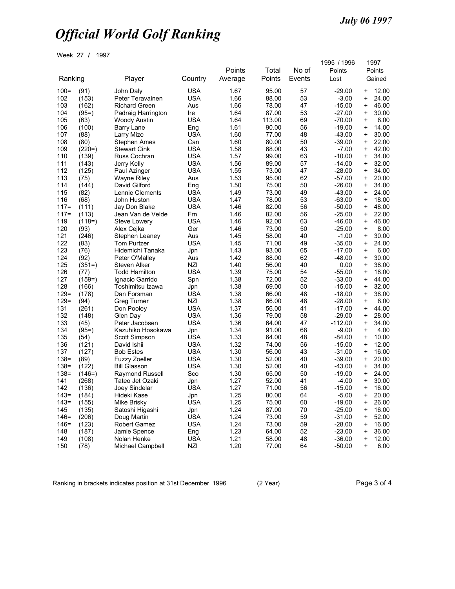Week 27 **/** 1997

|               |                |                              |                          | Points       | Total          | No of    | 1995 / 1996<br>Points |                | 1997<br>Points |
|---------------|----------------|------------------------------|--------------------------|--------------|----------------|----------|-----------------------|----------------|----------------|
| Ranking       |                | Player                       | Country                  | Average      | Points         | Events   | Lost                  |                | Gained         |
| $100 =$       | (91)           | John Daly                    | <b>USA</b>               | 1.67         | 95.00          | 57       | $-29.00$              | +              | 12.00          |
| 102           | (153)          | Peter Teravainen             | USA                      | 1.66         | 88.00          | 53       | $-3.00$               | $\ddot{}$      | 24.00          |
| 103           | (162)          | <b>Richard Green</b>         | Aus                      | 1.66         | 78.00          | 47       | $-15.00$              | +              | 46.00          |
| 104           | $(95=)$        | Padraig Harrington           | Ire                      | 1.64         | 87.00          | 53       | $-27.00$              | $\ddot{}$      | 30.00          |
| 105           | (63)           | Woody Austin                 | <b>USA</b>               | 1.64         | 113.00         | 69       | -70.00                | +              | 8.00           |
| 106           | (100)          | Barry Lane                   | Eng                      | 1.61         | 90.00          | 56       | $-19.00$              | $\ddot{}$      | 14.00          |
| 107           | (88)           | Larry Mize                   | <b>USA</b>               | 1.60         | 77.00          | 48       | $-43.00$              | +              | 30.00          |
| 108           | (80)           | Stephen Ames                 | Can                      | 1.60         | 80.00          | 50       | $-39.00$              | +              | 22.00          |
| 109           | $(220=)$       | <b>Stewart Cink</b>          | <b>USA</b>               | 1.58         | 68.00          | 43       | $-7.00$               | +              | 42.00          |
| 110           | (139)          | Russ Cochran                 | <b>USA</b>               | 1.57         | 99.00          | 63       | $-10.00$              | $\ddag$        | 34.00          |
| 111           | (143)          | Jerry Kelly                  | <b>USA</b>               | 1.56         | 89.00          | 57       | $-14.00$              | +              | 32.00          |
| 112           | (125)          | Paul Azinger                 | <b>USA</b>               | 1.55         | 73.00          | 47       | $-28.00$              | $\ddot{}$      | 34.00          |
| 113           | (75)           | Wayne Riley                  | Aus                      | 1.53         | 95.00          | 62       | $-57.00$              | +              | 20.00          |
| 114           | (144)          | David Gilford                | Eng                      | 1.50         | 75.00          | 50       | $-26.00$              | $\ddot{}$      | 34.00          |
| 115           | (82)           | Lennie Clements              | <b>USA</b>               | 1.49         | 73.00          | 49       | $-43.00$              | +              | 24.00          |
| 116           | (68)           | John Huston                  | <b>USA</b>               | 1.47         | 78.00          | 53       | $-63.00$              | +              | 18.00          |
| $117 =$       | (111)          | Jay Don Blake                | <b>USA</b>               | 1.46         | 82.00          | 56       | $-50.00$              | $\ddot{}$      | 48.00          |
| $117 =$       | (113)          | Jean Van de Velde            | Frn                      | 1.46         | 82.00          | 56       | $-25.00$              | +              | 22.00          |
| 119           | $(118=)$       | <b>Steve Lowery</b>          | <b>USA</b>               | 1.46         | 92.00          | 63       | $-46.00$              | +              | 46.00          |
| 120           | (93)           | Alex Cejka                   | Ger                      | 1.46         | 73.00          | 50       | $-25.00$              | $\ddot{}$      | 8.00           |
| 121           | (246)          | Stephen Leaney               | Aus                      | 1.45         | 58.00          | 40       | $-1.00$               | +              | 30.00          |
| 122           | (83)           | Tom Purtzer                  | <b>USA</b>               | 1.45         | 71.00          | 49       | $-35.00$              | $\ddot{}$      | 24.00          |
| 123           | (76)           | Hidemichi Tanaka             | Jpn                      | 1.43         | 93.00          | 65       | $-17.00$              | +              | 6.00           |
| 124           | (92)           | Peter O'Malley               | Aus                      | 1.42         | 88.00          | 62       | $-48.00$              | +              | 30.00          |
| 125           | $(351=)$       | Steven Alker                 | <b>NZI</b>               | 1.40         | 56.00          | 40       | 0.00                  | $\ddot{}$      | 38.00          |
| 126           | (77)           | <b>Todd Hamilton</b>         | <b>USA</b>               | 1.39         | 75.00          | 54       | $-55.00$              | +              | 18.00          |
| 127           | $(159=)$       | Ignacio Garrido              | Spn                      | 1.38         | 72.00          | 52       | $-33.00$              | +              | 44.00          |
| 128           | (166)          | Toshimitsu Izawa             | Jpn                      | 1.38         | 69.00          | 50       | $-15.00$              | $\ddot{}$      | 32.00          |
| $129 =$       | (178)          | Dan Forsman                  | <b>USA</b>               | 1.38         | 66.00          | 48       | $-18.00$              | +              | 38.00          |
| $129 =$       | (94)           | <b>Greg Turner</b>           | <b>NZI</b>               | 1.38         | 66.00          | 48       | $-28.00$              | $\ddot{}$      | 8.00           |
| 131           | (261)          | Don Pooley                   | <b>USA</b>               | 1.37         | 56.00          | 41       | $-17.00$              | +              | 44.00          |
| 132           | (148)          | Glen Day                     | <b>USA</b>               | 1.36         | 79.00          | 58       | $-29.00$              | +              | 28.00          |
| 133           | (45)           | Peter Jacobsen               | <b>USA</b>               | 1.36         | 64.00          | 47       | $-112.00$             | +              | 34.00          |
| 134           | $(95=)$        | Kazuhiko Hosokawa            | Jpn                      | 1.34         | 91.00          | 68       | $-9.00$               | +              | 4.00           |
| 135           | (54)           | Scott Simpson                | <b>USA</b>               | 1.33         | 64.00          | 48       | $-84.00$              | +              | 10.00          |
| 136           | (121)          | David Ishii                  | <b>USA</b>               | 1.32         | 74.00          | 56       | $-15.00$              | $\ddot{}$      | 12.00          |
| 137           | (127)          | <b>Bob Estes</b>             | <b>USA</b>               | 1.30         | 56.00          | 43       | $-31.00$              | +              | 16.00          |
| $138 =$       | (89)           | <b>Fuzzy Zoeller</b>         | <b>USA</b>               | 1.30         | 52.00          | 40       | $-39.00$              | $\ddot{}$      | 20.00          |
| $138 =$       | (122)          | <b>Bill Glasson</b>          | <b>USA</b>               | 1.30         | 52.00          | 40       | $-43.00$              | +              | 34.00          |
| $138 =$       | $(146=)$       | Raymond Russell              | Sco                      | 1.30         | 65.00          | 50       | $-19.00$              | +              | 24.00          |
| 141           | (268)          |                              |                          | 1.27         | 52.00          | 41       | $-4.00$               | +              | 30.00          |
|               |                | Tateo Jet Ozaki              | Jpn                      |              | 71.00          | 56       | $-15.00$              | $\ddot{}$      |                |
| 142<br>$143=$ | (136)<br>(184) | Joey Sindelar<br>Hideki Kase | USA<br>Jpn               | 1.27<br>1.25 | 80.00          | 64       | $-5.00$               | +              | 16.00<br>20.00 |
| $143=$        | (155)          | Mike Brisky                  | <b>USA</b>               | 1.25         | 75.00          | 60       | $-19.00$              | $\ddag$        | 26.00          |
| 145           | (135)          | Satoshi Higashi              |                          | 1.24         | 87.00          | 70       | $-25.00$              | +              | 16.00          |
| $146 =$       |                |                              | Jpn                      |              | 73.00          |          |                       |                | 52.00          |
| $146 =$       | (206)<br>(123) | Doug Martin<br>Robert Gamez  | <b>USA</b><br><b>USA</b> | 1.24<br>1.24 | 73.00          | 59<br>59 | $-31.00$<br>$-28.00$  | $\ddot{}$<br>+ | 16.00          |
| 148           | (187)          |                              | Eng                      | 1.23         | 64.00          | 52       | $-23.00$              | +              | 36.00          |
|               |                | Jamie Spence<br>Nolan Henke  |                          |              |                |          | $-36.00$              | $\ddag$        |                |
| 149           | (108)          |                              | <b>USA</b>               | 1.21         | 58.00<br>77.00 | 48       |                       |                | 12.00<br>6.00  |
| 150           | (78)           | Michael Campbell             | <b>NZI</b>               | 1.20         |                | 64       | $-50.00$              | $\ddot{}$      |                |

Ranking in brackets indicates position at 31st December 1996 (2 Year) Page 3 of 4